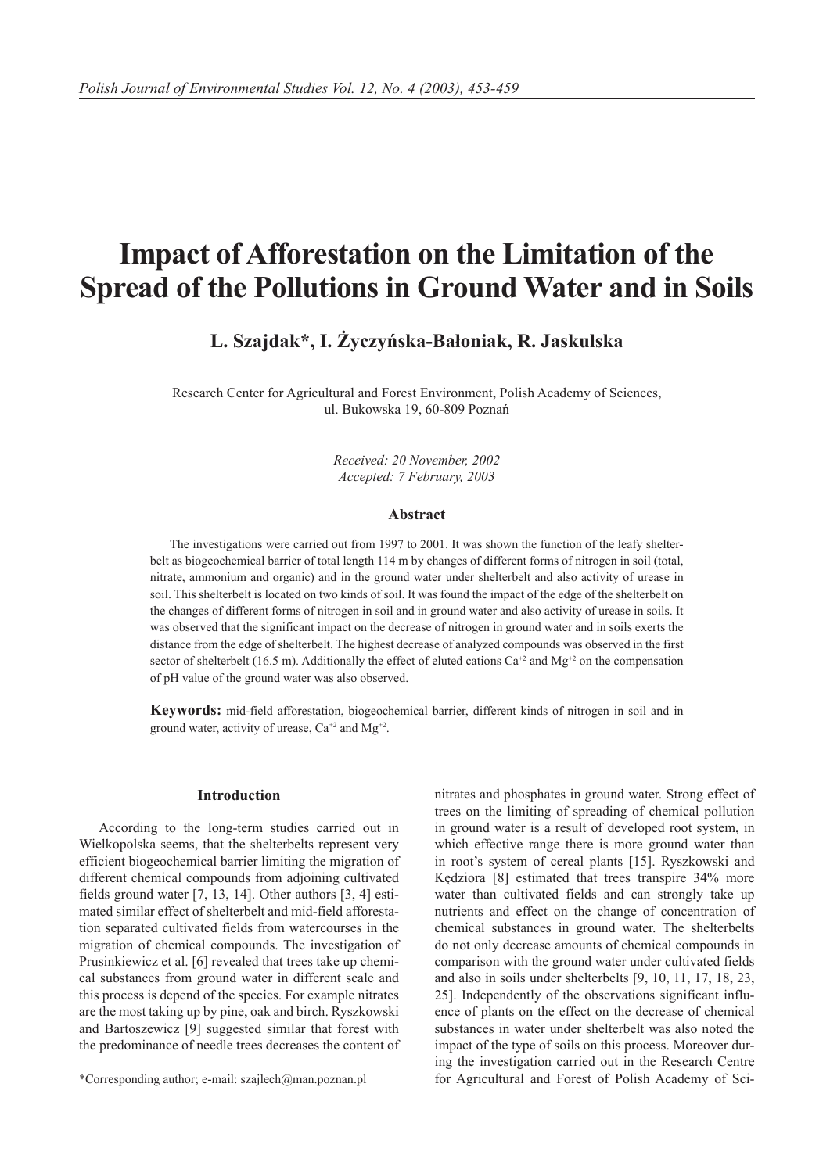# **Impact of Afforestation on the Limitation of the Spread of the Pollutions in Ground Water and in Soils**

**L. Szajdak\*, I. Życzyńska-Bałoniak, R. Jaskulska**

Research Center for Agricultural and Forest Environment, Polish Academy of Sciences, ul. Bukowska 19, 60-809 Poznań

> *Received: 20 November, 2002 Accepted: 7 February, 2003*

## **Abstract**

The investigations were carried out from 1997 to 2001. It was shown the function of the leafy shelterbelt as biogeochemical barrier of total length 114 m by changes of different forms of nitrogen in soil (total, nitrate, ammonium and organic) and in the ground water under shelterbelt and also activity of urease in soil. This shelterbelt is located on two kinds of soil. It was found the impact of the edge of the shelterbelt on the changes of different forms of nitrogen in soil and in ground water and also activity of urease in soils. It was observed that the significant impact on the decrease of nitrogen in ground water and in soils exerts the distance from the edge of shelterbelt. The highest decrease of analyzed compounds was observed in the first sector of shelterbelt (16.5 m). Additionally the effect of eluted cations  $Ca^{+2}$  and  $Mg^{+2}$  on the compensation of pH value of the ground water was also observed.

**Keywords:** mid-field afforestation, biogeochemical barrier, different kinds of nitrogen in soil and in ground water, activity of urease,  $Ca^{+2}$  and  $Mg^{+2}$ .

## **Introduction**

According to the long-term studies carried out in Wielkopolska seems, that the shelterbelts represent very efficient biogeochemical barrier limiting the migration of different chemical compounds from adjoining cultivated fields ground water [7, 13, 14]. Other authors [3, 4] estimated similar effect of shelterbelt and mid-field afforestation separated cultivated fields from watercourses in the migration of chemical compounds. The investigation of Prusinkiewicz et al. [6] revealed that trees take up chemical substances from ground water in different scale and this process is depend of the species. For example nitrates are the most taking up by pine, oak and birch. Ryszkowski and Bartoszewicz [9] suggested similar that forest with the predominance of needle trees decreases the content of nitrates and phosphates in ground water. Strong effect of trees on the limiting of spreading of chemical pollution in ground water is a result of developed root system, in which effective range there is more ground water than in root's system of cereal plants [15]. Ryszkowski and Kędziora [8] estimated that trees transpire 34% more water than cultivated fields and can strongly take up nutrients and effect on the change of concentration of chemical substances in ground water. The shelterbelts do not only decrease amounts of chemical compounds in comparison with the ground water under cultivated fields and also in soils under shelterbelts [9, 10, 11, 17, 18, 23, 25]. Independently of the observations significant influence of plants on the effect on the decrease of chemical substances in water under shelterbelt was also noted the impact of the type of soils on this process. Moreover during the investigation carried out in the Research Centre for Agricultural and Forest of Polish Academy of Sci-

<sup>\*</sup>Corresponding author; e-mail: szajlech@man.poznan.pl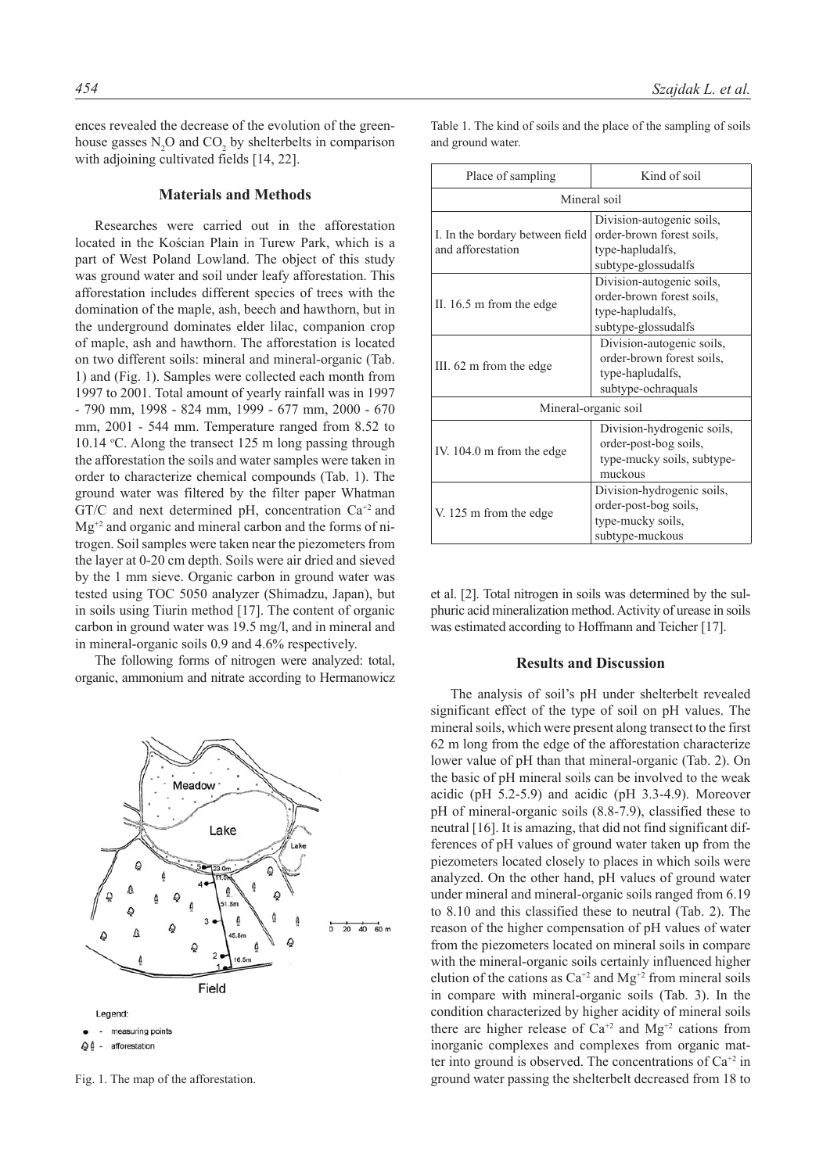ences revealed the decrease of the evolution of the greenhouse gasses  $N_2O$  and  $CO_2$  by shelterbelts in comparison with adjoining cultivated fields [14, 22].

## **Materials and Methods**

Researches were carried out in the afforestation located in the Kościan Plain in Turew Park, which is a part of West Poland Lowland. The object of this study was ground water and soil under leafy afforestation. This afforestation includes different species of trees with the domination of the maple, ash, beech and hawthorn, but in the underground dominates elder lilac, companion crop of maple, ash and hawthorn. The afforestation is located on two different soils: mineral and mineral-organic (Tab. 1) and (Fig. 1). Samples were collected each month from 1997 to 2001. Total amount of yearly rainfall was in 1997 - 790 mm, 1998 - 824 mm, 1999 - 677 mm, 2000 - 670 mm, 2001 - 544 mm. Temperature ranged from 8.52 to 10.14  $\degree$ C. Along the transect 125 m long passing through the afforestation the soils and water samples were taken in order to characterize chemical compounds (Tab. 1). The ground water was filtered by the filter paper Whatman GT/C and next determined pH, concentration  $Ca^{+2}$  and  $Mg^{+2}$  and organic and mineral carbon and the forms of nitrogen. Soil samples were taken near the piezometers from the layer at 0-20 cm depth. Soils were air dried and sieved by the 1 mm sieve. Organic carbon in ground water was tested using TOC 5050 analyzer (Shimadzu, Japan), but in soils using Tiurin method [17]. The content of organic carbon in ground water was 19.5 mg/l, and in mineral and in mineral-organic soils 0.9 and 4.6% respectively.

The following forms of nitrogen were analyzed: total, organic, ammonium and nitrate according to Hermanowicz



Fig. 1. The map of the afforestation.

Table 1. The kind of soils and the place of the sampling of soils and ground water.

| Place of sampling                                    | Kind of soil                                                                                      |  |  |  |  |
|------------------------------------------------------|---------------------------------------------------------------------------------------------------|--|--|--|--|
| Mineral soil                                         |                                                                                                   |  |  |  |  |
| I. In the bordary between field<br>and afforestation | Division-autogenic soils,<br>order-brown forest soils,<br>type-hapludalfs,<br>subtype-glossudalfs |  |  |  |  |
| II. 16.5 m from the edge                             | Division-autogenic soils,<br>order-brown forest soils,<br>type-hapludalfs,<br>subtype-glossudalfs |  |  |  |  |
| III. 62 m from the edge                              | Division-autogenic soils,<br>order-brown forest soils.<br>type-hapludalfs,<br>subtype-ochraquals  |  |  |  |  |
| Mineral-organic soil                                 |                                                                                                   |  |  |  |  |
| IV. 104.0 m from the edge                            | Division-hydrogenic soils,<br>order-post-bog soils,<br>type-mucky soils, subtype-<br>muckous      |  |  |  |  |
| V. 125 m from the edge                               | Division-hydrogenic soils,<br>order-post-bog soils,<br>type-mucky soils,<br>subtype-muckous       |  |  |  |  |

et al. [2]. Total nitrogen in soils was determined by the sulphuric acid mineralization method. Activity of urease in soils was estimated according to Hoffmann and Teicher [17].

### **Results and Discussion**

The analysis of soil's pH under shelterbelt revealed significant effect of the type of soil on pH values. The mineral soils, which were present along transect to the first 62 m long from the edge of the afforestation characterize lower value of pH than that mineral-organic (Tab. 2). On the basic of pH mineral soils can be involved to the weak acidic (pH 5.2-5.9) and acidic (pH 3.3-4.9). Moreover pH of mineral-organic soils (8.8-7.9), classified these to neutral [16]. It is amazing, that did not find significant differences of pH values of ground water taken up from the piezometers located closely to places in which soils were analyzed. On the other hand, pH values of ground water under mineral and mineral-organic soils ranged from 6.19 to 8.10 and this classified these to neutral (Tab. 2). The reason of the higher compensation of pH values of water from the piezometers located on mineral soils in compare with the mineral-organic soils certainly influenced higher elution of the cations as  $Ca^{+2}$  and  $Mg^{+2}$  from mineral soils in compare with mineral-organic soils (Tab. 3). In the condition characterized by higher acidity of mineral soils there are higher release of  $Ca^{+2}$  and  $Mg^{+2}$  cations from inorganic complexes and complexes from organic matter into ground is observed. The concentrations of  $Ca^{+2}$  in ground water passing the shelterbelt decreased from 18 to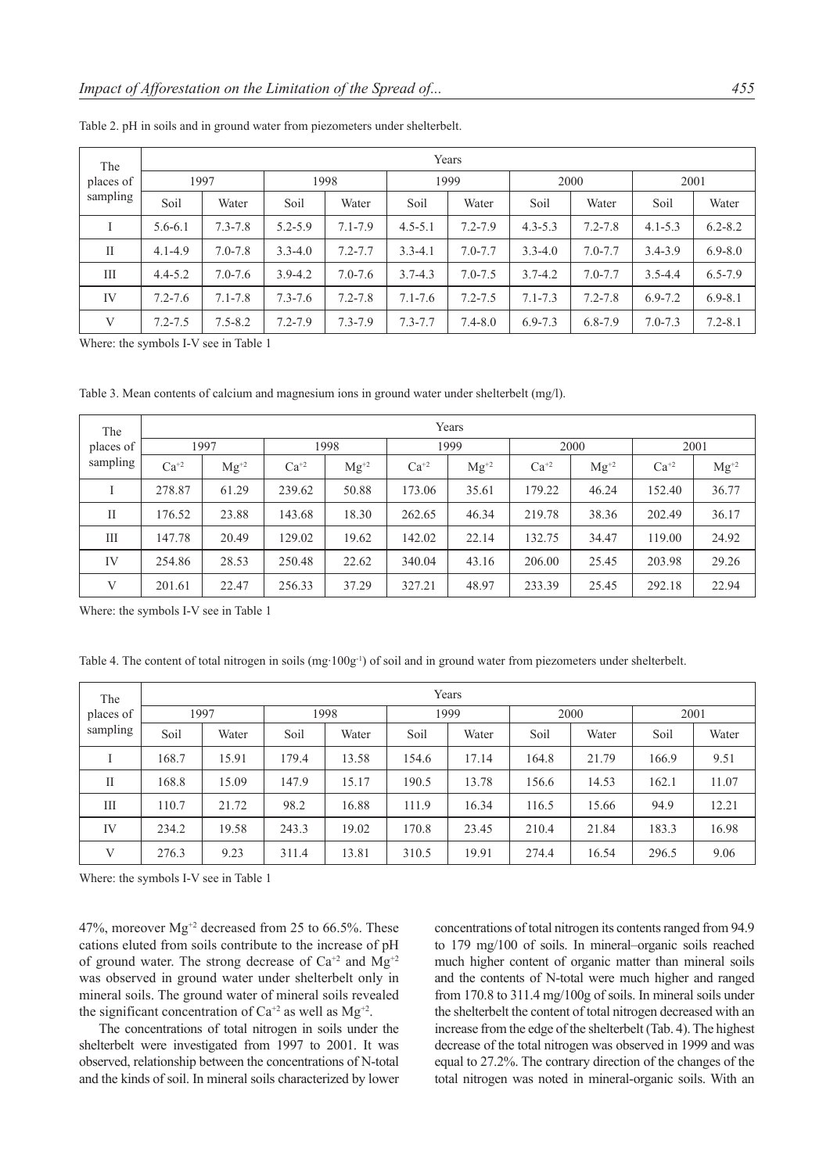| The          | Years       |             |             |             |             |             |             |             |             |             |  |  |  |
|--------------|-------------|-------------|-------------|-------------|-------------|-------------|-------------|-------------|-------------|-------------|--|--|--|
| places of    | 1997        |             | 1998        |             | 1999        |             |             | 2000        | 2001        |             |  |  |  |
| sampling     | Soil        | Water       | Soil        | Water       | Soil        | Water       | Soil        | Water       | Soil        | Water       |  |  |  |
|              | $5.6 - 6.1$ | $7.3 - 7.8$ | $5.2 - 5.9$ | $7.1 - 7.9$ | $4.5 - 5.1$ | $7.2 - 7.9$ | $4.3 - 5.3$ | $7.2 - 7.8$ | $4.1 - 5.3$ | $6.2 - 8.2$ |  |  |  |
| $\mathbf{I}$ | $4.1 - 4.9$ | $7.0 - 7.8$ | $3.3 - 4.0$ | $7.2 - 7.7$ | $3.3 - 4.1$ | $7.0 - 7.7$ | $3.3 - 4.0$ | $7.0 - 7.7$ | $3.4 - 3.9$ | $6.9 - 8.0$ |  |  |  |
| Ш            | $4.4 - 5.2$ | $7.0 - 7.6$ | $3.9 - 4.2$ | $7.0 - 7.6$ | $3.7 - 4.3$ | $7.0 - 7.5$ | $3.7 - 4.2$ | $7.0 - 7.7$ | $3.5 - 4.4$ | $6.5 - 7.9$ |  |  |  |
| IV           | $7.2 - 7.6$ | $7.1 - 7.8$ | $7.3 - 7.6$ | $7.2 - 7.8$ | $7.1 - 7.6$ | $7.2 - 7.5$ | $7.1 - 7.3$ | $7.2 - 7.8$ | $6.9 - 7.2$ | $6.9 - 8.1$ |  |  |  |
| V            | $7.2 - 7.5$ | $7.5 - 8.2$ | $7.2 - 7.9$ | $7.3 - 7.9$ | $7.3 - 7.7$ | $7.4 - 8.0$ | $6.9 - 7.3$ | $6.8 - 7.9$ | $7.0 - 7.3$ | $7.2 - 8.1$ |  |  |  |

Table 2. pH in soils and in ground water from piezometers under shelterbelt.

Where: the symbols I-V see in Table 1

Table 3. Mean contents of calcium and magnesium ions in ground water under shelterbelt (mg/l).

| The       | Years     |           |           |           |           |           |           |           |           |           |  |  |  |
|-----------|-----------|-----------|-----------|-----------|-----------|-----------|-----------|-----------|-----------|-----------|--|--|--|
| places of |           | 1997      | 1998      |           | 1999      |           |           | 2000      | 2001      |           |  |  |  |
| sampling  | $Ca^{+2}$ | $Mg^{+2}$ | $Ca^{+2}$ | $Mg^{+2}$ | $Ca^{+2}$ | $Mg^{+2}$ | $Ca^{+2}$ | $Mg^{+2}$ | $Ca^{+2}$ | $Mg^{+2}$ |  |  |  |
|           | 278.87    | 61.29     | 239.62    | 50.88     | 173.06    | 35.61     | 179.22    | 46.24     | 152.40    | 36.77     |  |  |  |
| П         | 176.52    | 23.88     | 143.68    | 18.30     | 262.65    | 46.34     | 219.78    | 38.36     | 202.49    | 36.17     |  |  |  |
| Ш         | 147.78    | 20.49     | 129.02    | 19.62     | 142.02    | 22.14     | 132.75    | 34.47     | 119.00    | 24.92     |  |  |  |
| IV        | 254.86    | 28.53     | 250.48    | 22.62     | 340.04    | 43.16     | 206.00    | 25.45     | 203.98    | 29.26     |  |  |  |
| V         | 201.61    | 22.47     | 256.33    | 37.29     | 327.21    | 48.97     | 233.39    | 25.45     | 292.18    | 22.94     |  |  |  |

Where: the symbols I-V see in Table 1

Table 4. The content of total nitrogen in soils (mg·100g-1) of soil and in ground water from piezometers under shelterbelt.

| The          | Years |       |       |       |       |       |       |       |       |       |  |  |  |
|--------------|-------|-------|-------|-------|-------|-------|-------|-------|-------|-------|--|--|--|
| places of    |       | 1997  | 1998  |       | 1999  |       |       | 2000  | 2001  |       |  |  |  |
| sampling     | Soil  | Water | Soil  | Water | Soil  | Water | Soil  | Water | Soil  | Water |  |  |  |
|              | 168.7 | 15.91 | 179.4 | 13.58 | 154.6 | 17.14 | 164.8 | 21.79 | 166.9 | 9.51  |  |  |  |
| $\mathbf{I}$ | 168.8 | 15.09 | 147.9 | 15.17 | 190.5 | 13.78 | 156.6 | 14.53 | 162.1 | 11.07 |  |  |  |
| Ш            | 110.7 | 21.72 | 98.2  | 16.88 | 111.9 | 16.34 | 116.5 | 15.66 | 94.9  | 12.21 |  |  |  |
| IV           | 234.2 | 19.58 | 243.3 | 19.02 | 170.8 | 23.45 | 210.4 | 21.84 | 183.3 | 16.98 |  |  |  |
| V            | 276.3 | 9.23  | 311.4 | 13.81 | 310.5 | 19.91 | 274.4 | 16.54 | 296.5 | 9.06  |  |  |  |

Where: the symbols I-V see in Table 1

47%, moreover Mg+2 decreased from 25 to 66.5%. These cations eluted from soils contribute to the increase of pH of ground water. The strong decrease of  $Ca^{+2}$  and  $Mg^{+2}$ was observed in ground water under shelterbelt only in mineral soils. The ground water of mineral soils revealed the significant concentration of  $Ca^{+2}$  as well as  $Mg^{+2}$ .

The concentrations of total nitrogen in soils under the shelterbelt were investigated from 1997 to 2001. It was observed, relationship between the concentrations of N-total and the kinds of soil. In mineral soils characterized by lower concentrations of total nitrogen its contents ranged from 94.9 to 179 mg/100 of soils. In mineral–organic soils reached much higher content of organic matter than mineral soils and the contents of N-total were much higher and ranged from 170.8 to 311.4 mg/100g of soils. In mineral soils under the shelterbelt the content of total nitrogen decreased with an increase from the edge of the shelterbelt (Tab. 4). The highest decrease of the total nitrogen was observed in 1999 and was equal to 27.2%. The contrary direction of the changes of the total nitrogen was noted in mineral-organic soils. With an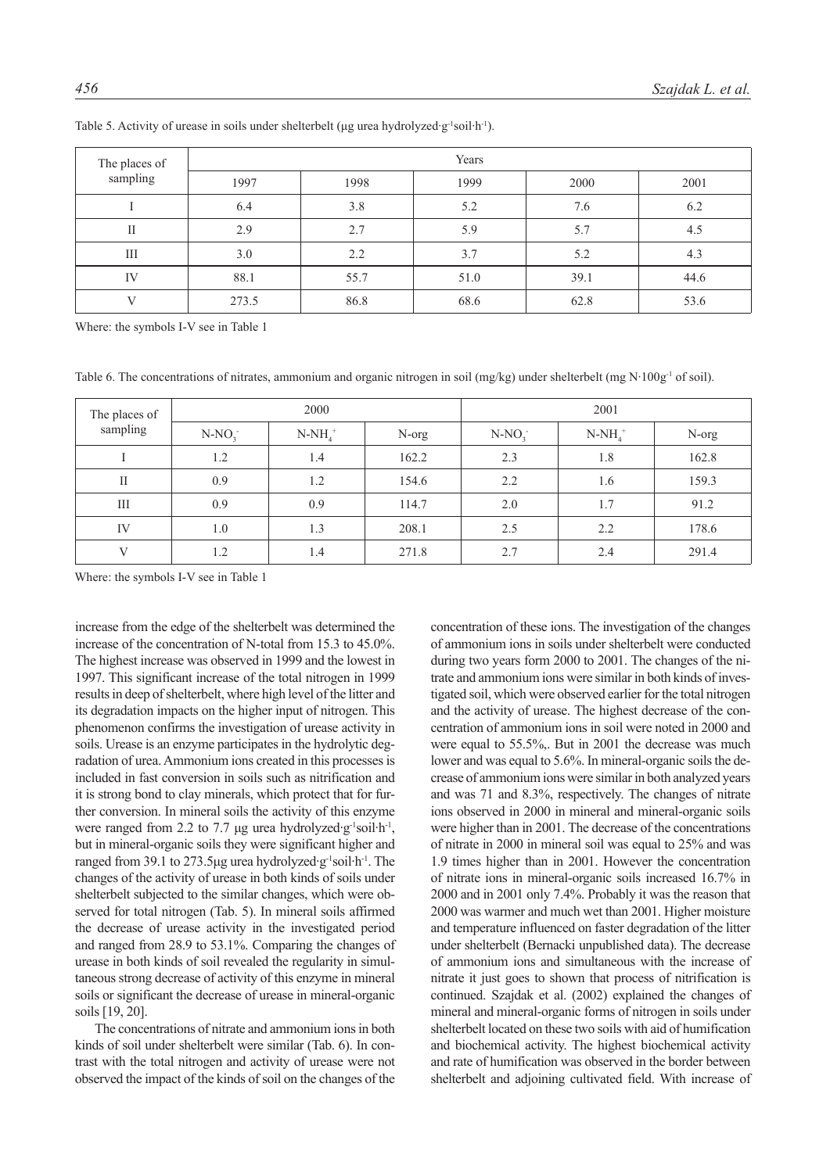| The places of<br>sampling | Years |      |      |      |      |  |  |  |  |  |  |
|---------------------------|-------|------|------|------|------|--|--|--|--|--|--|
|                           | 1997  | 1998 | 1999 | 2000 | 2001 |  |  |  |  |  |  |
|                           | 6.4   | 3.8  | 5.2  | 7.6  | 6.2  |  |  |  |  |  |  |
| $\mathbf{I}$              | 2.9   | 2.7  | 5.9  | 5.7  | 4.5  |  |  |  |  |  |  |
| Ш                         | 3.0   | 2.2  | 3.7  | 5.2  | 4.3  |  |  |  |  |  |  |
| IV                        | 88.1  | 55.7 | 51.0 | 39.1 | 44.6 |  |  |  |  |  |  |
| $\overline{V}$            | 273.5 | 86.8 | 68.6 | 62.8 | 53.6 |  |  |  |  |  |  |

Table 5. Activity of urease in soils under shelterbelt (μg urea hydrolyzed·g-1soil·h-1).

Where: the symbols I-V see in Table 1

Table 6. The concentrations of nitrates, ammonium and organic nitrogen in soil (mg/kg) under shelterbelt (mg  $N \cdot 100g^{-1}$  of soil).

| The places of<br>sampling |          | 2000         |       | 2001     |              |       |  |  |
|---------------------------|----------|--------------|-------|----------|--------------|-------|--|--|
|                           | $N-NO_3$ | $N-NH_{4}^+$ | N-org | $N-NO_2$ | $N-NH_{4}^+$ | N-org |  |  |
|                           | 1.2      | 1.4          | 162.2 | 2.3      | 1.8          | 162.8 |  |  |
| $\mathbf{I}$              | 0.9      | 1.2          | 154.6 | 2.2      | 1.6          | 159.3 |  |  |
| Ш                         | 0.9      | 0.9          | 114.7 | 2.0      | 1.7          | 91.2  |  |  |
| IV                        | 1.0      | 1.3          | 208.1 | 2.5      | 2.2          | 178.6 |  |  |
| $\mathbf{V}$              | 1.2      | 1.4          | 271.8 | 2.7      | 2.4          | 291.4 |  |  |

Where: the symbols I-V see in Table 1

increase from the edge of the shelterbelt was determined the increase of the concentration of N-total from 15.3 to 45.0%. The highest increase was observed in 1999 and the lowest in 1997. This significant increase of the total nitrogen in 1999 results in deep of shelterbelt, where high level of the litter and its degradation impacts on the higher input of nitrogen. This phenomenon confirms the investigation of urease activity in soils. Urease is an enzyme participates in the hydrolytic degradation of urea. Ammonium ions created in this processes is included in fast conversion in soils such as nitrification and it is strong bond to clay minerals, which protect that for further conversion. In mineral soils the activity of this enzyme were ranged from 2.2 to 7.7  $\mu$ g urea hydrolyzed·g<sup>-1</sup>soil·h<sup>-1</sup>, but in mineral-organic soils they were significant higher and ranged from 39.1 to 273.5μg urea hydrolyzed·g-1soil·h-1. The changes of the activity of urease in both kinds of soils under shelterbelt subjected to the similar changes, which were observed for total nitrogen (Tab. 5). In mineral soils affirmed the decrease of urease activity in the investigated period and ranged from 28.9 to 53.1%. Comparing the changes of urease in both kinds of soil revealed the regularity in simultaneous strong decrease of activity of this enzyme in mineral soils or significant the decrease of urease in mineral-organic soils [19, 20].

The concentrations of nitrate and ammonium ions in both kinds of soil under shelterbelt were similar (Tab. 6). In contrast with the total nitrogen and activity of urease were not observed the impact of the kinds of soil on the changes of the concentration of these ions. The investigation of the changes of ammonium ions in soils under shelterbelt were conducted during two years form 2000 to 2001. The changes of the nitrate and ammonium ions were similar in both kinds of investigated soil, which were observed earlier for the total nitrogen and the activity of urease. The highest decrease of the concentration of ammonium ions in soil were noted in 2000 and were equal to 55.5%,. But in 2001 the decrease was much lower and was equal to 5.6%. In mineral-organic soils the decrease of ammonium ions were similar in both analyzed years and was 71 and 8.3%, respectively. The changes of nitrate ions observed in 2000 in mineral and mineral-organic soils were higher than in 2001. The decrease of the concentrations of nitrate in 2000 in mineral soil was equal to 25% and was 1.9 times higher than in 2001. However the concentration of nitrate ions in mineral-organic soils increased 16.7% in 2000 and in 2001 only 7.4%. Probably it was the reason that 2000 was warmer and much wet than 2001. Higher moisture and temperature influenced on faster degradation of the litter under shelterbelt (Bernacki unpublished data). The decrease of ammonium ions and simultaneous with the increase of nitrate it just goes to shown that process of nitrification is continued. Szajdak et al. (2002) explained the changes of mineral and mineral-organic forms of nitrogen in soils under shelterbelt located on these two soils with aid of humification and biochemical activity. The highest biochemical activity and rate of humification was observed in the border between shelterbelt and adjoining cultivated field. With increase of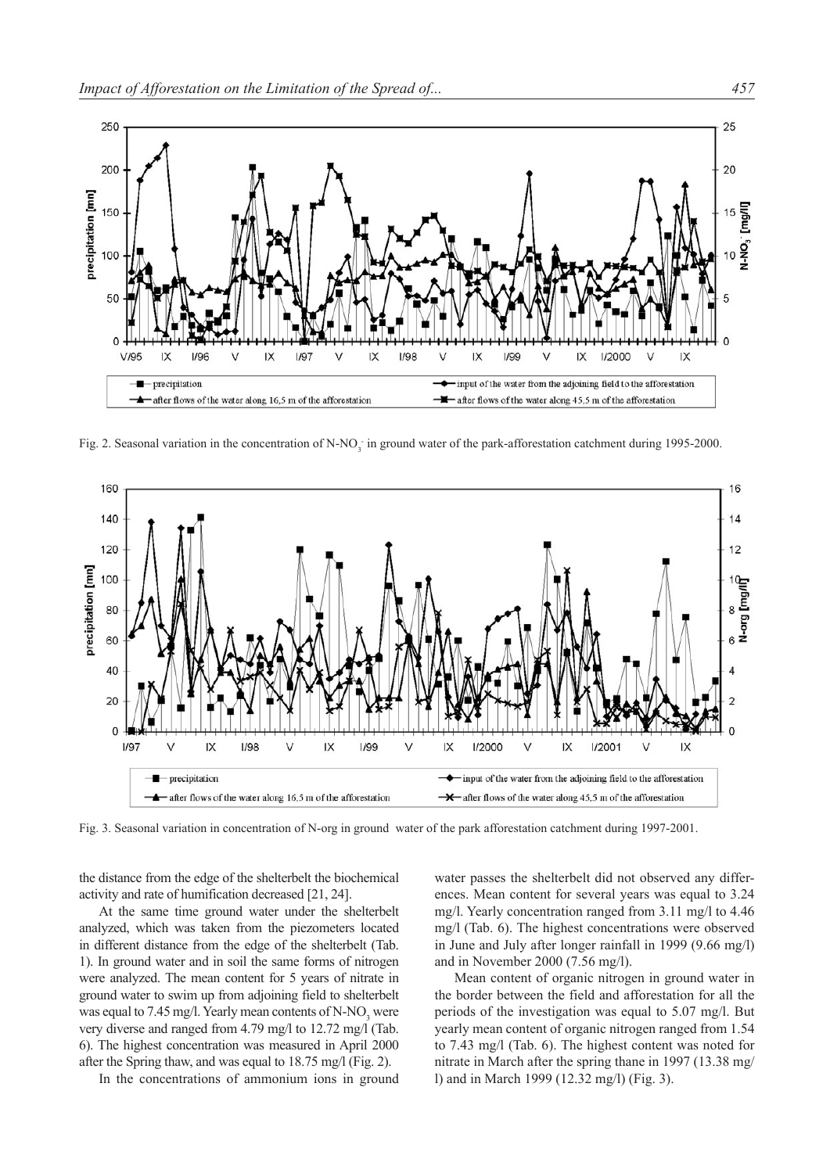

Fig. 2. Seasonal variation in the concentration of N-NO<sub>3</sub> in ground water of the park-afforestation catchment during 1995-2000.



Fig. 3. Seasonal variation in concentration of N-org in ground water of the park afforestation catchment during 1997-2001.

the distance from the edge of the shelterbelt the biochemical activity and rate of humification decreased [21, 24].

At the same time ground water under the shelterbelt analyzed, which was taken from the piezometers located in different distance from the edge of the shelterbelt (Tab. 1). In ground water and in soil the same forms of nitrogen were analyzed. The mean content for 5 years of nitrate in ground water to swim up from adjoining field to shelterbelt was equal to 7.45 mg/l. Yearly mean contents of N-NO<sub>3</sub> were very diverse and ranged from 4.79 mg/l to 12.72 mg/l (Tab. 6). The highest concentration was measured in April 2000 after the Spring thaw, and was equal to 18.75 mg/l (Fig. 2).

In the concentrations of ammonium ions in ground

water passes the shelterbelt did not observed any differences. Mean content for several years was equal to 3.24 mg/l. Yearly concentration ranged from 3.11 mg/l to 4.46 mg/l (Tab. 6). The highest concentrations were observed in June and July after longer rainfall in 1999 (9.66 mg/l) and in November 2000 (7.56 mg/l).

Mean content of organic nitrogen in ground water in the border between the field and afforestation for all the periods of the investigation was equal to 5.07 mg/l. But yearly mean content of organic nitrogen ranged from 1.54 to 7.43 mg/l (Tab. 6). The highest content was noted for nitrate in March after the spring thane in 1997 (13.38 mg/ l) and in March 1999 (12.32 mg/l) (Fig. 3).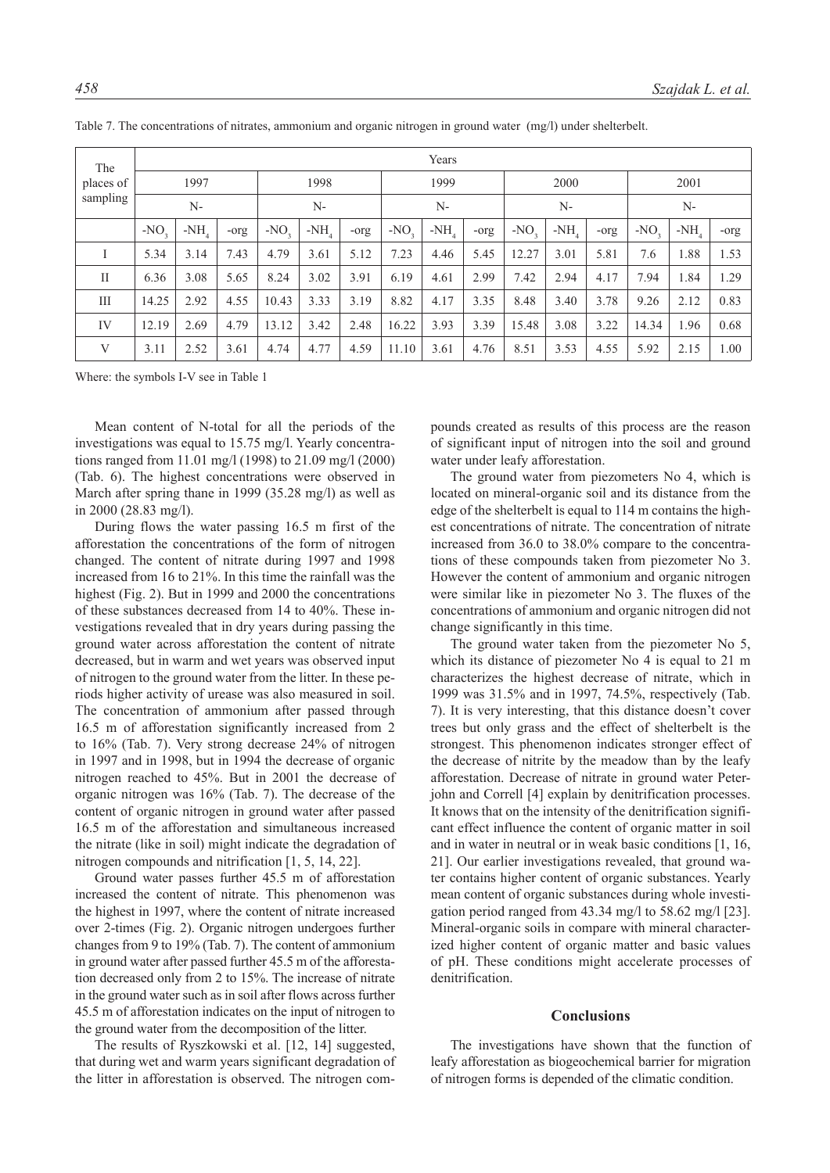| The          |        | Years  |      |        |        |      |        |        |      |        |       |      |        |         |      |
|--------------|--------|--------|------|--------|--------|------|--------|--------|------|--------|-------|------|--------|---------|------|
| places of    | 1997   |        |      | 1998   |        |      | 1999   |        | 2000 |        |       | 2001 |        |         |      |
| sampling     | $N-$   |        |      |        | N-     |      | N-     |        | $N-$ |        |       | N-   |        |         |      |
|              | $-NO2$ | $-NHA$ | -org | $-NO2$ | $-NHA$ | -org | $-NO2$ | $-NHA$ | -org | $-NO2$ | $-NH$ | -org | $-NO2$ | $-NH$ . | -org |
| I            | 5.34   | 3.14   | 7.43 | 4.79   | 3.61   | 5.12 | 7.23   | 4.46   | 5.45 | 12.27  | 3.01  | 5.81 | 7.6    | 1.88    | 1.53 |
| $\mathbf{I}$ | 6.36   | 3.08   | 5.65 | 8.24   | 3.02   | 3.91 | 6.19   | 4.61   | 2.99 | 7.42   | 2.94  | 4.17 | 7.94   | 1.84    | 1.29 |
| III          | 14.25  | 2.92   | 4.55 | 10.43  | 3.33   | 3.19 | 8.82   | 4.17   | 3.35 | 8.48   | 3.40  | 3.78 | 9.26   | 2.12    | 0.83 |
| IV           | 12.19  | 2.69   | 4.79 | 13.12  | 3.42   | 2.48 | 16.22  | 3.93   | 3.39 | 15.48  | 3.08  | 3.22 | 14.34  | 1.96    | 0.68 |
| V            | 3.11   | 2.52   | 3.61 | 4.74   | 4.77   | 4.59 | 11.10  | 3.61   | 4.76 | 8.51   | 3.53  | 4.55 | 5.92   | 2.15    | 1.00 |

Table 7. The concentrations of nitrates, ammonium and organic nitrogen in ground water (mg/l) under shelterbelt.

Where: the symbols I-V see in Table 1

Mean content of N-total for all the periods of the investigations was equal to 15.75 mg/l. Yearly concentrations ranged from 11.01 mg/l (1998) to 21.09 mg/l (2000) (Tab. 6). The highest concentrations were observed in March after spring thane in 1999 (35.28 mg/l) as well as in 2000 (28.83 mg/l).

During flows the water passing 16.5 m first of the afforestation the concentrations of the form of nitrogen changed. The content of nitrate during 1997 and 1998 increased from 16 to 21%. In this time the rainfall was the highest (Fig. 2). But in 1999 and 2000 the concentrations of these substances decreased from 14 to 40%. These investigations revealed that in dry years during passing the ground water across afforestation the content of nitrate decreased, but in warm and wet years was observed input of nitrogen to the ground water from the litter. In these periods higher activity of urease was also measured in soil. The concentration of ammonium after passed through 16.5 m of afforestation significantly increased from 2 to 16% (Tab. 7). Very strong decrease 24% of nitrogen in 1997 and in 1998, but in 1994 the decrease of organic nitrogen reached to 45%. But in 2001 the decrease of organic nitrogen was 16% (Tab. 7). The decrease of the content of organic nitrogen in ground water after passed 16.5 m of the afforestation and simultaneous increased the nitrate (like in soil) might indicate the degradation of nitrogen compounds and nitrification [1, 5, 14, 22].

Ground water passes further 45.5 m of afforestation increased the content of nitrate. This phenomenon was the highest in 1997, where the content of nitrate increased over 2-times (Fig. 2). Organic nitrogen undergoes further changes from 9 to 19% (Tab. 7). The content of ammonium in ground water after passed further 45.5 m of the afforestation decreased only from 2 to 15%. The increase of nitrate in the ground water such as in soil after flows across further 45.5 m of afforestation indicates on the input of nitrogen to the ground water from the decomposition of the litter.

The results of Ryszkowski et al. [12, 14] suggested, that during wet and warm years significant degradation of the litter in afforestation is observed. The nitrogen compounds created as results of this process are the reason of significant input of nitrogen into the soil and ground water under leafy afforestation.

The ground water from piezometers No 4, which is located on mineral-organic soil and its distance from the edge of the shelterbelt is equal to 114 m contains the highest concentrations of nitrate. The concentration of nitrate increased from 36.0 to 38.0% compare to the concentrations of these compounds taken from piezometer No 3. However the content of ammonium and organic nitrogen were similar like in piezometer No 3. The fluxes of the concentrations of ammonium and organic nitrogen did not change significantly in this time.

The ground water taken from the piezometer No 5, which its distance of piezometer No 4 is equal to 21 m characterizes the highest decrease of nitrate, which in 1999 was 31.5% and in 1997, 74.5%, respectively (Tab. 7). It is very interesting, that this distance doesn't cover trees but only grass and the effect of shelterbelt is the strongest. This phenomenon indicates stronger effect of the decrease of nitrite by the meadow than by the leafy afforestation. Decrease of nitrate in ground water Peterjohn and Correll [4] explain by denitrification processes. It knows that on the intensity of the denitrification significant effect influence the content of organic matter in soil and in water in neutral or in weak basic conditions [1, 16, 21]. Our earlier investigations revealed, that ground water contains higher content of organic substances. Yearly mean content of organic substances during whole investigation period ranged from 43.34 mg/l to 58.62 mg/l [23]. Mineral-organic soils in compare with mineral characterized higher content of organic matter and basic values of pH. These conditions might accelerate processes of denitrification.

## **Conclusions**

The investigations have shown that the function of leafy afforestation as biogeochemical barrier for migration of nitrogen forms is depended of the climatic condition.